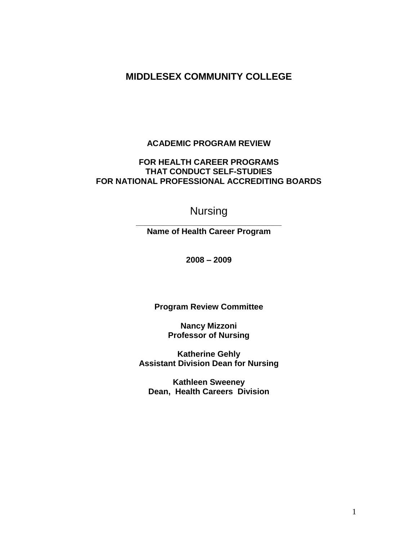# **MIDDLESEX COMMUNITY COLLEGE**

## **ACADEMIC PROGRAM REVIEW**

## **FOR HEALTH CAREER PROGRAMS THAT CONDUCT SELF-STUDIES FOR NATIONAL PROFESSIONAL ACCREDITING BOARDS**

# Nursing

**\_\_\_\_\_\_\_\_\_\_\_\_\_\_\_\_\_\_\_\_\_\_\_\_\_\_\_\_\_\_\_\_ Name of Health Career Program**

**2008 – 2009**

**Program Review Committee**

**Nancy Mizzoni Professor of Nursing**

**Katherine Gehly Assistant Division Dean for Nursing**

**Kathleen Sweeney Dean, Health Careers Division**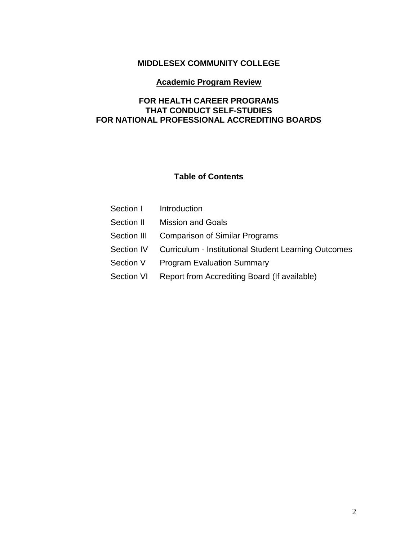# **MIDDLESEX COMMUNITY COLLEGE**

## **Academic Program Review**

# **FOR HEALTH CAREER PROGRAMS THAT CONDUCT SELF-STUDIES FOR NATIONAL PROFESSIONAL ACCREDITING BOARDS**

## **Table of Contents**

| Section I   | Introduction                                                    |
|-------------|-----------------------------------------------------------------|
| Section II  | <b>Mission and Goals</b>                                        |
| Section III | <b>Comparison of Similar Programs</b>                           |
|             | Section IV Curriculum - Institutional Student Learning Outcomes |
| Section V   | <b>Program Evaluation Summary</b>                               |
| Section VI  | Report from Accrediting Board (If available)                    |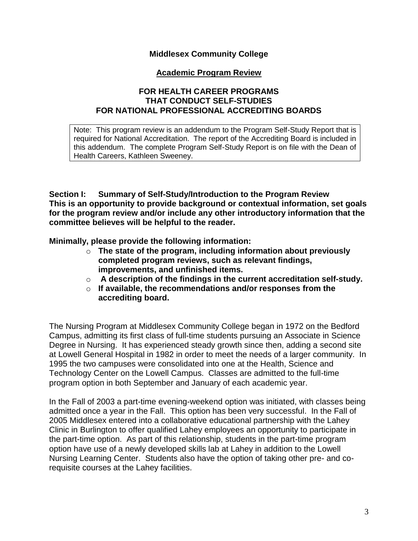## **Middlesex Community College**

## **Academic Program Review**

## **FOR HEALTH CAREER PROGRAMS THAT CONDUCT SELF-STUDIES FOR NATIONAL PROFESSIONAL ACCREDITING BOARDS**

Note: This program review is an addendum to the Program Self-Study Report that is required for National Accreditation. The report of the Accrediting Board is included in this addendum. The complete Program Self-Study Report is on file with the Dean of Health Careers, Kathleen Sweeney.

**Section I: Summary of Self-Study/Introduction to the Program Review This is an opportunity to provide background or contextual information, set goals for the program review and/or include any other introductory information that the committee believes will be helpful to the reader.** 

**Minimally, please provide the following information:** 

- o **The state of the program, including information about previously completed program reviews, such as relevant findings, improvements, and unfinished items.**
- o **A description of the findings in the current accreditation self-study.**
- o **If available, the recommendations and/or responses from the accrediting board.**

The Nursing Program at Middlesex Community College began in 1972 on the Bedford Campus, admitting its first class of full-time students pursuing an Associate in Science Degree in Nursing. It has experienced steady growth since then, adding a second site at Lowell General Hospital in 1982 in order to meet the needs of a larger community. In 1995 the two campuses were consolidated into one at the Health, Science and Technology Center on the Lowell Campus. Classes are admitted to the full-time program option in both September and January of each academic year.

In the Fall of 2003 a part-time evening-weekend option was initiated, with classes being admitted once a year in the Fall. This option has been very successful. In the Fall of 2005 Middlesex entered into a collaborative educational partnership with the Lahey Clinic in Burlington to offer qualified Lahey employees an opportunity to participate in the part-time option. As part of this relationship, students in the part-time program option have use of a newly developed skills lab at Lahey in addition to the Lowell Nursing Learning Center. Students also have the option of taking other pre- and corequisite courses at the Lahey facilities.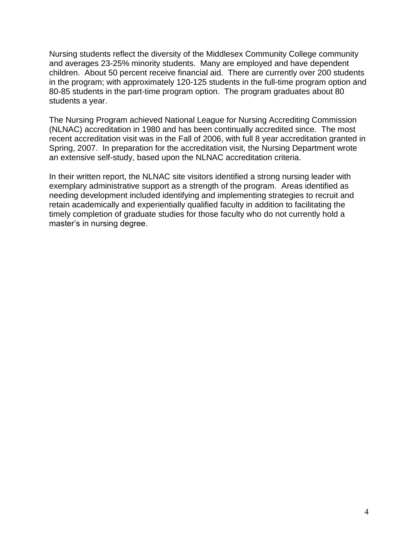Nursing students reflect the diversity of the Middlesex Community College community and averages 23-25% minority students. Many are employed and have dependent children. About 50 percent receive financial aid. There are currently over 200 students in the program; with approximately 120-125 students in the full-time program option and 80-85 students in the part-time program option. The program graduates about 80 students a year.

The Nursing Program achieved National League for Nursing Accrediting Commission (NLNAC) accreditation in 1980 and has been continually accredited since. The most recent accreditation visit was in the Fall of 2006, with full 8 year accreditation granted in Spring, 2007. In preparation for the accreditation visit, the Nursing Department wrote an extensive self-study, based upon the NLNAC accreditation criteria.

In their written report, the NLNAC site visitors identified a strong nursing leader with exemplary administrative support as a strength of the program. Areas identified as needing development included identifying and implementing strategies to recruit and retain academically and experientially qualified faculty in addition to facilitating the timely completion of graduate studies for those faculty who do not currently hold a master's in nursing degree.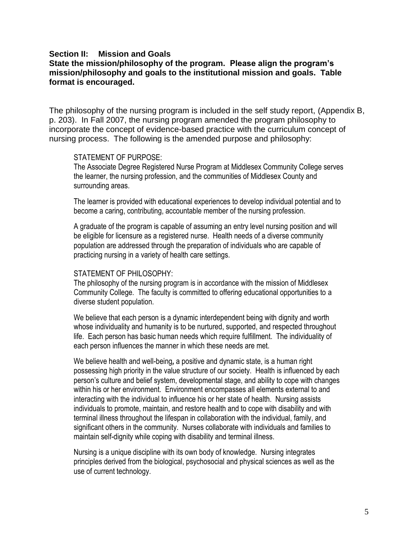#### **Section II: Mission and Goals**

#### **State the mission/philosophy of the program. Please align the program"s mission/philosophy and goals to the institutional mission and goals. Table format is encouraged.**

The philosophy of the nursing program is included in the self study report, (Appendix B, p. 203). In Fall 2007, the nursing program amended the program philosophy to incorporate the concept of evidence-based practice with the curriculum concept of nursing process. The following is the amended purpose and philosophy:

#### STATEMENT OF PURPOSE:

The Associate Degree Registered Nurse Program at Middlesex Community College serves the learner, the nursing profession, and the communities of Middlesex County and surrounding areas.

The learner is provided with educational experiences to develop individual potential and to become a caring, contributing, accountable member of the nursing profession.

A graduate of the program is capable of assuming an entry level nursing position and will be eligible for licensure as a registered nurse. Health needs of a diverse community population are addressed through the preparation of individuals who are capable of practicing nursing in a variety of health care settings.

#### STATEMENT OF PHILOSOPHY:

The philosophy of the nursing program is in accordance with the mission of Middlesex Community College. The faculty is committed to offering educational opportunities to a diverse student population.

We believe that each person is a dynamic interdependent being with dignity and worth whose individuality and humanity is to be nurtured, supported, and respected throughout life. Each person has basic human needs which require fulfillment. The individuality of each person influences the manner in which these needs are met.

We believe health and well-being*,* a positive and dynamic state, is a human right possessing high priority in the value structure of our society. Health is influenced by each person's culture and belief system, developmental stage, and ability to cope with changes within his or her environment. Environment encompasses all elements external to and interacting with the individual to influence his or her state of health. Nursing assists individuals to promote, maintain, and restore health and to cope with disability and with terminal illness throughout the lifespan in collaboration with the individual, family, and significant others in the community. Nurses collaborate with individuals and families to maintain self-dignity while coping with disability and terminal illness.

Nursing is a unique discipline with its own body of knowledge. Nursing integrates principles derived from the biological, psychosocial and physical sciences as well as the use of current technology.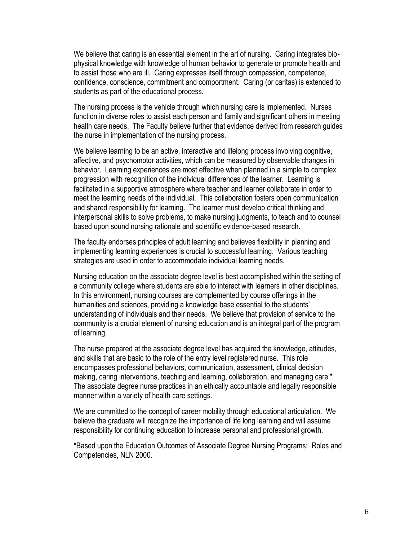We believe that caring is an essential element in the art of nursing. Caring integrates biophysical knowledge with knowledge of human behavior to generate or promote health and to assist those who are ill. Caring expresses itself through compassion, competence, confidence, conscience, commitment and comportment. Caring (or caritas) is extended to students as part of the educational process.

The nursing process is the vehicle through which nursing care is implemented. Nurses function in diverse roles to assist each person and family and significant others in meeting health care needs. The Faculty believe further that evidence derived from research guides the nurse in implementation of the nursing process.

We believe learning to be an active, interactive and lifelong process involving cognitive, affective, and psychomotor activities, which can be measured by observable changes in behavior. Learning experiences are most effective when planned in a simple to complex progression with recognition of the individual differences of the learner. Learning is facilitated in a supportive atmosphere where teacher and learner collaborate in order to meet the learning needs of the individual. This collaboration fosters open communication and shared responsibility for learning. The learner must develop critical thinking and interpersonal skills to solve problems, to make nursing judgments, to teach and to counsel based upon sound nursing rationale and scientific evidence-based research.

The faculty endorses principles of adult learning and believes flexibility in planning and implementing learning experiences is crucial to successful learning. Various teaching strategies are used in order to accommodate individual learning needs.

Nursing education on the associate degree level is best accomplished within the setting of a community college where students are able to interact with learners in other disciplines. In this environment, nursing courses are complemented by course offerings in the humanities and sciences, providing a knowledge base essential to the students' understanding of individuals and their needs. We believe that provision of service to the community is a crucial element of nursing education and is an integral part of the program of learning.

The nurse prepared at the associate degree level has acquired the knowledge, attitudes, and skills that are basic to the role of the entry level registered nurse. This role encompasses professional behaviors, communication, assessment, clinical decision making, caring interventions, teaching and learning, collaboration, and managing care.\* The associate degree nurse practices in an ethically accountable and legally responsible manner within a variety of health care settings.

We are committed to the concept of career mobility through educational articulation. We believe the graduate will recognize the importance of life long learning and will assume responsibility for continuing education to increase personal and professional growth.

\*Based upon the Education Outcomes of Associate Degree Nursing Programs: Roles and Competencies, NLN 2000.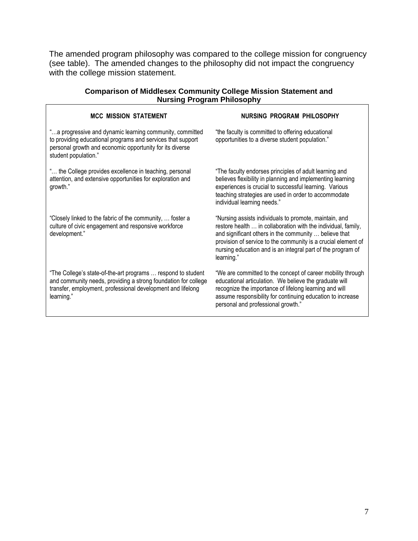The amended program philosophy was compared to the college mission for congruency (see table). The amended changes to the philosophy did not impact the congruency with the college mission statement.

| <b>MCC MISSION STATEMENT</b>                                                                                                                                                                                | NURSING PROGRAM PHILOSOPHY                                                                                                                                                                                                                                                                                                     |
|-------------------------------------------------------------------------------------------------------------------------------------------------------------------------------------------------------------|--------------------------------------------------------------------------------------------------------------------------------------------------------------------------------------------------------------------------------------------------------------------------------------------------------------------------------|
| "a progressive and dynamic learning community, committed<br>to providing educational programs and services that support<br>personal growth and economic opportunity for its diverse<br>student population." | "the faculty is committed to offering educational<br>opportunities to a diverse student population."                                                                                                                                                                                                                           |
| " the College provides excellence in teaching, personal<br>attention, and extensive opportunities for exploration and<br>growth."                                                                           | "The faculty endorses principles of adult learning and<br>believes flexibility in planning and implementing learning<br>experiences is crucial to successful learning. Various<br>teaching strategies are used in order to accommodate<br>individual learning needs."                                                          |
| "Closely linked to the fabric of the community,  foster a<br>culture of civic engagement and responsive workforce<br>development."                                                                          | "Nursing assists individuals to promote, maintain, and<br>restore health  in collaboration with the individual, family,<br>and significant others in the community  believe that<br>provision of service to the community is a crucial element of<br>nursing education and is an integral part of the program of<br>learning." |
| "The College's state-of-the-art programs  respond to student<br>and community needs, providing a strong foundation for college<br>transfer, employment, professional development and lifelong<br>learning." | "We are committed to the concept of career mobility through<br>educational articulation. We believe the graduate will<br>recognize the importance of lifelong learning and will<br>assume responsibility for continuing education to increase<br>personal and professional growth."                                            |

#### **Comparison of Middlesex Community College Mission Statement and Nursing Program Philosophy**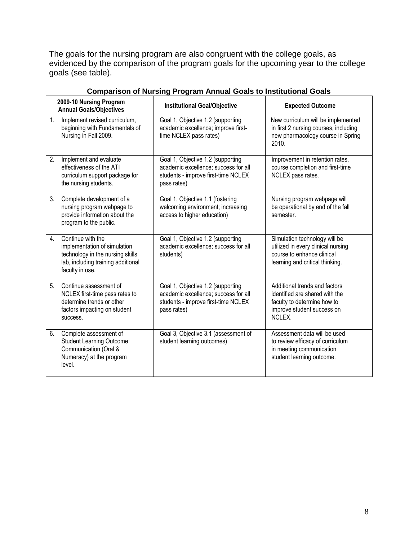The goals for the nursing program are also congruent with the college goals, as evidenced by the comparison of the program goals for the upcoming year to the college goals (see table).

| 2009-10 Nursing Program<br><b>Annual Goals/Objectives</b>                                                                                            | <b>Institutional Goal/Objective</b>                                                                                             | <b>Expected Outcome</b>                                                                                                                |
|------------------------------------------------------------------------------------------------------------------------------------------------------|---------------------------------------------------------------------------------------------------------------------------------|----------------------------------------------------------------------------------------------------------------------------------------|
| 1.<br>Implement revised curriculum,<br>beginning with Fundamentals of<br>Nursing in Fall 2009.                                                       | Goal 1, Objective 1.2 (supporting<br>academic excellence; improve first-<br>time NCLEX pass rates)                              | New curriculum will be implemented<br>in first 2 nursing courses, including<br>new pharmacology course in Spring<br>2010.              |
| 2.<br>Implement and evaluate<br>effectiveness of the ATI<br>curriculum support package for<br>the nursing students.                                  | Goal 1, Objective 1.2 (supporting<br>academic excellence; success for all<br>students - improve first-time NCLEX<br>pass rates) | Improvement in retention rates,<br>course completion and first-time<br>NCLEX pass rates.                                               |
| 3.<br>Complete development of a<br>nursing program webpage to<br>provide information about the<br>program to the public.                             | Goal 1, Objective 1.1 (fostering<br>welcoming environment; increasing<br>access to higher education)                            | Nursing program webpage will<br>be operational by end of the fall<br>semester.                                                         |
| Continue with the<br>4.<br>implementation of simulation<br>technology in the nursing skills<br>lab, including training additional<br>faculty in use. | Goal 1, Objective 1.2 (supporting<br>academic excellence; success for all<br>students)                                          | Simulation technology will be<br>utilized in every clinical nursing<br>course to enhance clinical<br>learning and critical thinking.   |
| Continue assessment of<br>5.<br>NCLEX first-time pass rates to<br>determine trends or other<br>factors impacting on student<br>success.              | Goal 1, Objective 1.2 (supporting<br>academic excellence; success for all<br>students - improve first-time NCLEX<br>pass rates) | Additional trends and factors<br>identified are shared with the<br>faculty to determine how to<br>improve student success on<br>NCLEX. |
| 6.<br>Complete assessment of<br><b>Student Learning Outcome:</b><br>Communication (Oral &<br>Numeracy) at the program<br>level.                      | Goal 3, Objective 3.1 (assessment of<br>student learning outcomes)                                                              | Assessment data will be used<br>to review efficacy of curriculum<br>in meeting communication<br>student learning outcome.              |

## **Comparison of Nursing Program Annual Goals to Institutional Goals**

J.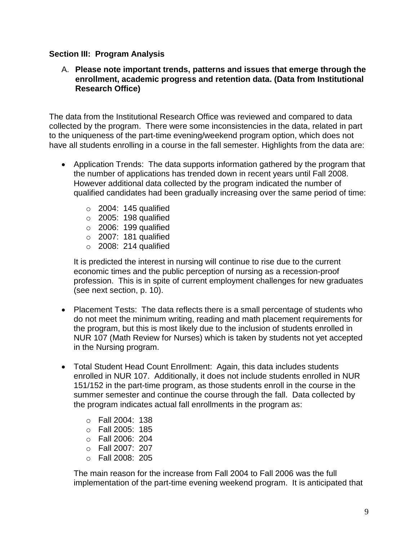## **Section III: Program Analysis**

## A. **Please note important trends, patterns and issues that emerge through the enrollment, academic progress and retention data. (Data from Institutional Research Office)**

The data from the Institutional Research Office was reviewed and compared to data collected by the program. There were some inconsistencies in the data, related in part to the uniqueness of the part-time evening/weekend program option, which does not have all students enrolling in a course in the fall semester. Highlights from the data are:

- Application Trends: The data supports information gathered by the program that the number of applications has trended down in recent years until Fall 2008. However additional data collected by the program indicated the number of qualified candidates had been gradually increasing over the same period of time:
	- $\circ$  2004: 145 qualified
	- $\circ$  2005: 198 qualified
	- $\circ$  2006: 199 qualified
	- $\circ$  2007: 181 qualified
	- $\circ$  2008: 214 qualified

It is predicted the interest in nursing will continue to rise due to the current economic times and the public perception of nursing as a recession-proof profession. This is in spite of current employment challenges for new graduates (see next section, p. 10).

- Placement Tests: The data reflects there is a small percentage of students who do not meet the minimum writing, reading and math placement requirements for the program, but this is most likely due to the inclusion of students enrolled in NUR 107 (Math Review for Nurses) which is taken by students not yet accepted in the Nursing program.
- Total Student Head Count Enrollment: Again, this data includes students enrolled in NUR 107. Additionally, it does not include students enrolled in NUR 151/152 in the part-time program, as those students enroll in the course in the summer semester and continue the course through the fall. Data collected by the program indicates actual fall enrollments in the program as:
	- o Fall 2004: 138
	- o Fall 2005: 185
	- o Fall 2006: 204
	- o Fall 2007: 207
	- o Fall 2008: 205

The main reason for the increase from Fall 2004 to Fall 2006 was the full implementation of the part-time evening weekend program. It is anticipated that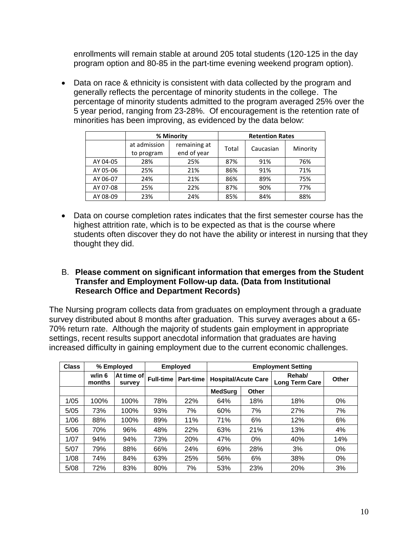enrollments will remain stable at around 205 total students (120-125 in the day program option and 80-85 in the part-time evening weekend program option).

• Data on race & ethnicity is consistent with data collected by the program and generally reflects the percentage of minority students in the college. The percentage of minority students admitted to the program averaged 25% over the 5 year period, ranging from 23-28%. Of encouragement is the retention rate of minorities has been improving, as evidenced by the data below:

|          |                            | % Minority                  |       | <b>Retention Rates</b> |          |
|----------|----------------------------|-----------------------------|-------|------------------------|----------|
|          | at admission<br>to program | remaining at<br>end of year | Total | Caucasian              | Minority |
| AY 04-05 | 28%                        | 25%                         | 87%   | 91%                    | 76%      |
| AY 05-06 | 25%                        | 21%                         | 86%   | 91%                    | 71%      |
| AY 06-07 | 24%                        | 21%                         | 86%   | 89%                    | 75%      |
| AY 07-08 | 25%                        | 22%                         | 87%   | 90%                    | 77%      |
| AY 08-09 | 23%                        | 24%                         | 85%   | 84%                    | 88%      |

 Data on course completion rates indicates that the first semester course has the highest attrition rate, which is to be expected as that is the course where students often discover they do not have the ability or interest in nursing that they thought they did.

## B. **Please comment on significant information that emerges from the Student Transfer and Employment Follow-up data. (Data from Institutional Research Office and Department Records)**

The Nursing program collects data from graduates on employment through a graduate survey distributed about 8 months after graduation. This survey averages about a 65- 70% return rate. Although the majority of students gain employment in appropriate settings, recent results support anecdotal information that graduates are having increased difficulty in gaining employment due to the current economic challenges.

| <b>Class</b> |                  | % Employed           | <b>Employed</b>  |                  | <b>Employment Setting</b>  |       |                                 |       |
|--------------|------------------|----------------------|------------------|------------------|----------------------------|-------|---------------------------------|-------|
|              | w/in 6<br>months | At time of<br>survey | <b>Full-time</b> | <b>Part-time</b> | <b>Hospital/Acute Care</b> |       | Rehab/<br><b>Long Term Care</b> | Other |
|              |                  |                      |                  |                  | <b>MedSurg</b>             | Other |                                 |       |
| 1/05         | 100%             | 100%                 | 78%              | 22%              | 64%                        | 18%   | 18%                             | 0%    |
| 5/05         | 73%              | 100%                 | 93%              | 7%               | 60%                        | 7%    | 27%                             | 7%    |
| 1/06         | 88%              | 100%                 | 89%              | 11%              | 71%                        | 6%    | 12%                             | 6%    |
| 5/06         | 70%              | 96%                  | 48%              | 22%              | 63%                        | 21%   | 13%                             | 4%    |
| 1/07         | 94%              | 94%                  | 73%              | 20%              | 47%                        | 0%    | 40%                             | 14%   |
| 5/07         | 79%              | 88%                  | 66%              | 24%              | 69%                        | 28%   | 3%                              | $0\%$ |
| 1/08         | 74%              | 84%                  | 63%              | 25%              | 56%                        | 6%    | 38%                             | 0%    |
| 5/08         | 72%              | 83%                  | 80%              | 7%               | 53%                        | 23%   | 20%                             | 3%    |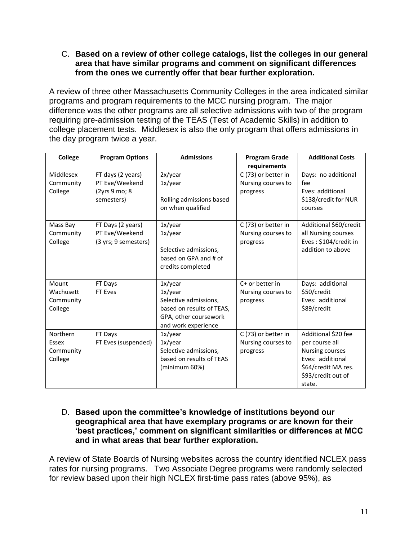C. **Based on a review of other college catalogs, list the colleges in our general area that have similar programs and comment on significant differences from the ones we currently offer that bear further exploration.**

A review of three other Massachusetts Community Colleges in the area indicated similar programs and program requirements to the MCC nursing program. The major difference was the other programs are all selective admissions with two of the program requiring pre-admission testing of the TEAS (Test of Academic Skills) in addition to college placement tests. Middlesex is also the only program that offers admissions in the day program twice a year.

| <b>College</b> | <b>Program Options</b> | <b>Admissions</b>                             | <b>Program Grade</b> | <b>Additional Costs</b>         |
|----------------|------------------------|-----------------------------------------------|----------------------|---------------------------------|
|                |                        |                                               | requirements         |                                 |
| Middlesex      | FT days (2 years)      | 2x/year                                       | C (73) or better in  | Days: no additional             |
| Community      | PT Eve/Weekend         | 1x/year                                       | Nursing courses to   | fee                             |
| College        | (2yrs 9 mo; 8          |                                               | progress             | Eves: additional                |
|                | semesters)             | Rolling admissions based<br>on when qualified |                      | \$138/credit for NUR<br>courses |
| Mass Bay       | FT Days (2 years)      | 1x/year                                       | C (73) or better in  | Additional \$60/credit          |
| Community      | PT Eve/Weekend         | 1x/year                                       | Nursing courses to   | all Nursing courses             |
| College        | (3 yrs; 9 semesters)   |                                               | progress             | Eves: \$104/credit in           |
|                |                        | Selective admissions,                         |                      | addition to above               |
|                |                        | based on GPA and # of                         |                      |                                 |
|                |                        | credits completed                             |                      |                                 |
| Mount          | FT Days                | 1x/year                                       | C+ or better in      | Days: additional                |
| Wachusett      | FT Eves                | 1x/year                                       | Nursing courses to   | \$50/credit                     |
| Community      |                        | Selective admissions,                         | progress             | Eves: additional                |
| College        |                        | based on results of TEAS,                     |                      | \$89/credit                     |
|                |                        | GPA, other coursework                         |                      |                                 |
|                |                        | and work experience                           |                      |                                 |
| Northern       | FT Days                | 1x/year                                       | C (73) or better in  | Additional \$20 fee             |
| Essex          | FT Eves (suspended)    | 1x/year                                       | Nursing courses to   | per course all                  |
| Community      |                        | Selective admissions,                         | progress             | <b>Nursing courses</b>          |
| College        |                        | based on results of TEAS                      |                      | Eves: additional                |
|                |                        | (minimum 60%)                                 |                      | \$64/credit MA res.             |
|                |                        |                                               |                      | \$93/credit out of              |
|                |                        |                                               |                      | state.                          |

D. **Based upon the committee"s knowledge of institutions beyond our geographical area that have exemplary programs or are known for their "best practices," comment on significant similarities or differences at MCC and in what areas that bear further exploration.**

A review of State Boards of Nursing websites across the country identified NCLEX pass rates for nursing programs. Two Associate Degree programs were randomly selected for review based upon their high NCLEX first-time pass rates (above 95%), as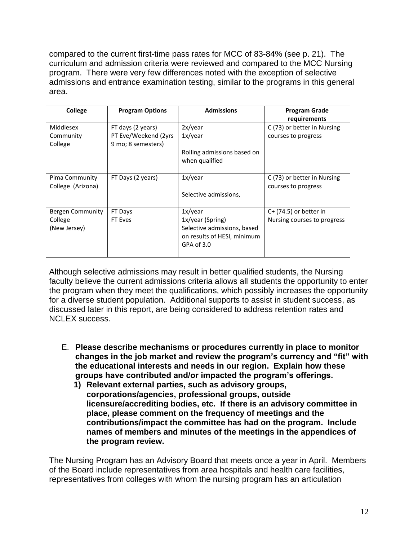compared to the current first-time pass rates for MCC of 83-84% (see p. 21). The curriculum and admission criteria were reviewed and compared to the MCC Nursing program. There were very few differences noted with the exception of selective admissions and entrance examination testing, similar to the programs in this general area.

| College           | <b>Program Options</b> | <b>Admissions</b>           | <b>Program Grade</b>        |
|-------------------|------------------------|-----------------------------|-----------------------------|
|                   |                        |                             | requirements                |
| Middlesex         | FT days (2 years)      | 2x/year                     | C (73) or better in Nursing |
| Community         | PT Eve/Weekend (2yrs   | 1x/year                     | courses to progress         |
| College           | 9 mo; 8 semesters)     |                             |                             |
|                   |                        | Rolling admissions based on |                             |
|                   |                        | when qualified              |                             |
|                   |                        |                             |                             |
| Pima Community    | FT Days (2 years)      | 1x/year                     | C (73) or better in Nursing |
| College (Arizona) |                        |                             | courses to progress         |
|                   |                        | Selective admissions,       |                             |
|                   |                        |                             |                             |
| Bergen Community  | FT Days                | 1x/year                     | $C+$ (74.5) or better in    |
| College           | FT Eves                | 1x/year (Spring)            | Nursing courses to progress |
| (New Jersey)      |                        | Selective admissions, based |                             |
|                   |                        | on results of HESI, minimum |                             |
|                   |                        | GPA of 3.0                  |                             |
|                   |                        |                             |                             |

Although selective admissions may result in better qualified students, the Nursing faculty believe the current admissions criteria allows all students the opportunity to enter the program when they meet the qualifications, which possibly increases the opportunity for a diverse student population. Additional supports to assist in student success, as discussed later in this report, are being considered to address retention rates and NCLEX success.

- E. **Please describe mechanisms or procedures currently in place to monitor changes in the job market and review the program"s currency and "fit" with the educational interests and needs in our region. Explain how these groups have contributed and/or impacted the program"s offerings.**
	- **1) Relevant external parties, such as advisory groups, corporations/agencies, professional groups, outside licensure/accrediting bodies, etc. If there is an advisory committee in place, please comment on the frequency of meetings and the contributions/impact the committee has had on the program. Include names of members and minutes of the meetings in the appendices of the program review.**

The Nursing Program has an Advisory Board that meets once a year in April. Members of the Board include representatives from area hospitals and health care facilities, representatives from colleges with whom the nursing program has an articulation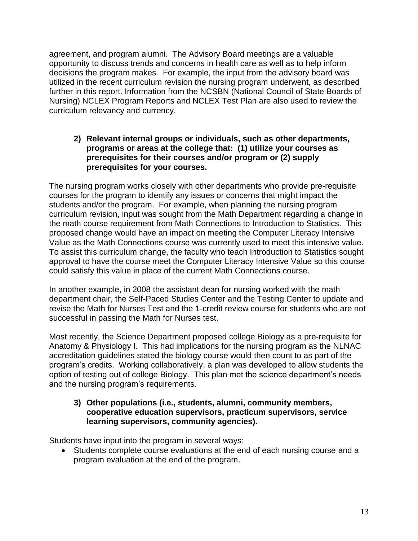agreement, and program alumni. The Advisory Board meetings are a valuable opportunity to discuss trends and concerns in health care as well as to help inform decisions the program makes. For example, the input from the advisory board was utilized in the recent curriculum revision the nursing program underwent, as described further in this report. Information from the NCSBN (National Council of State Boards of Nursing) NCLEX Program Reports and NCLEX Test Plan are also used to review the curriculum relevancy and currency.

**2) Relevant internal groups or individuals, such as other departments, programs or areas at the college that: (1) utilize your courses as prerequisites for their courses and/or program or (2) supply prerequisites for your courses.**

The nursing program works closely with other departments who provide pre-requisite courses for the program to identify any issues or concerns that might impact the students and/or the program. For example, when planning the nursing program curriculum revision, input was sought from the Math Department regarding a change in the math course requirement from Math Connections to Introduction to Statistics. This proposed change would have an impact on meeting the Computer Literacy Intensive Value as the Math Connections course was currently used to meet this intensive value. To assist this curriculum change, the faculty who teach Introduction to Statistics sought approval to have the course meet the Computer Literacy Intensive Value so this course could satisfy this value in place of the current Math Connections course.

In another example, in 2008 the assistant dean for nursing worked with the math department chair, the Self-Paced Studies Center and the Testing Center to update and revise the Math for Nurses Test and the 1-credit review course for students who are not successful in passing the Math for Nurses test.

Most recently, the Science Department proposed college Biology as a pre-requisite for Anatomy & Physiology I. This had implications for the nursing program as the NLNAC accreditation guidelines stated the biology course would then count to as part of the program's credits. Working collaboratively, a plan was developed to allow students the option of testing out of college Biology. This plan met the science department's needs and the nursing program's requirements.

## **3) Other populations (i.e., students, alumni, community members, cooperative education supervisors, practicum supervisors, service learning supervisors, community agencies).**

Students have input into the program in several ways:

 Students complete course evaluations at the end of each nursing course and a program evaluation at the end of the program.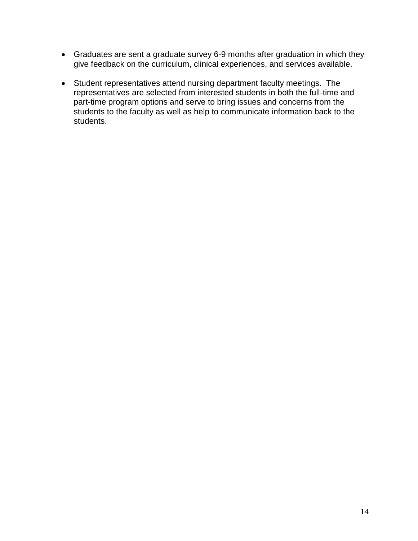- Graduates are sent a graduate survey 6-9 months after graduation in which they give feedback on the curriculum, clinical experiences, and services available.
- Student representatives attend nursing department faculty meetings. The representatives are selected from interested students in both the full-time and part-time program options and serve to bring issues and concerns from the students to the faculty as well as help to communicate information back to the students.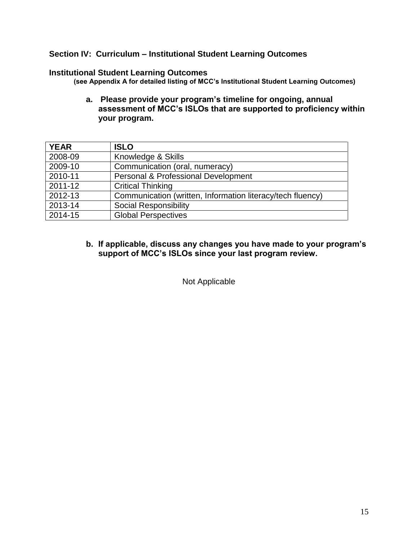# **Section IV: Curriculum – Institutional Student Learning Outcomes**

#### **Institutional Student Learning Outcomes**

**(see Appendix A for detailed listing of MCC"s Institutional Student Learning Outcomes)**

**a. Please provide your program"s timeline for ongoing, annual assessment of MCC"s ISLOs that are supported to proficiency within your program.** 

| <b>YEAR</b> | <b>ISLO</b>                                                |
|-------------|------------------------------------------------------------|
| 2008-09     | Knowledge & Skills                                         |
| 2009-10     | Communication (oral, numeracy)                             |
| 2010-11     | Personal & Professional Development                        |
| 2011-12     | <b>Critical Thinking</b>                                   |
| 2012-13     | Communication (written, Information literacy/tech fluency) |
| 2013-14     | <b>Social Responsibility</b>                               |
| 2014-15     | <b>Global Perspectives</b>                                 |

#### **b. If applicable, discuss any changes you have made to your program"s support of MCC"s ISLOs since your last program review.**

Not Applicable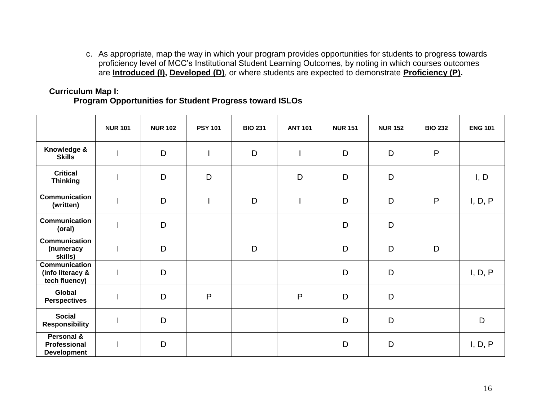c. As appropriate, map the way in which your program provides opportunities for students to progress towards proficiency level of MCC's Institutional Student Learning Outcomes, by noting in which courses outcomes are **Introduced (I), Developed (D)**, or where students are expected to demonstrate **Proficiency (P).**

# **Curriculum Map I:**

#### **Program Opportunities for Student Progress toward ISLOs**

|                                                           | <b>NUR 101</b> | <b>NUR 102</b> | <b>PSY 101</b> | <b>BIO 231</b> | <b>ANT 101</b> | <b>NUR 151</b> | <b>NUR 152</b> | <b>BIO 232</b> | <b>ENG 101</b> |
|-----------------------------------------------------------|----------------|----------------|----------------|----------------|----------------|----------------|----------------|----------------|----------------|
| Knowledge &<br><b>Skills</b>                              |                | D              |                | D              |                | D              | D              | $\mathsf{P}$   |                |
| <b>Critical</b><br><b>Thinking</b>                        |                | D              | D              |                | D              | D              | D              |                | I, D           |
| Communication<br>(written)                                |                | D              |                | D              |                | D              | D              | $\mathsf{P}$   | I, D, P        |
| <b>Communication</b><br>(oral)                            |                | D              |                |                |                | D              | D              |                |                |
| <b>Communication</b><br>(numeracy<br>skills)              |                | D              |                | D              |                | D              | D              | D              |                |
| <b>Communication</b><br>(info literacy &<br>tech fluency) |                | D              |                |                |                | D              | D              |                | I, D, P        |
| Global<br><b>Perspectives</b>                             |                | D              | P              |                | P              | D              | D              |                |                |
| <b>Social</b><br><b>Responsibility</b>                    |                | D              |                |                |                | D              | D              |                | D              |
| Personal &<br>Professional<br><b>Development</b>          |                | D              |                |                |                | D              | D              |                | I, D, P        |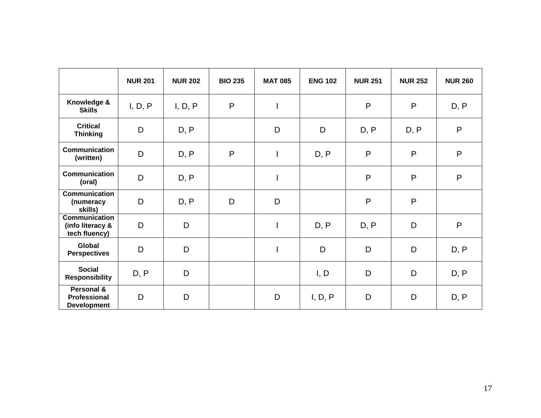|                                                           | <b>NUR 201</b> | <b>NUR 202</b> | <b>BIO 235</b> | <b>MAT 085</b>           | <b>ENG 102</b> | <b>NUR 251</b> | <b>NUR 252</b> | <b>NUR 260</b> |
|-----------------------------------------------------------|----------------|----------------|----------------|--------------------------|----------------|----------------|----------------|----------------|
| Knowledge &<br><b>Skills</b>                              | I, D, P        | I, D, P        | $\mathsf{P}$   | $\mathbf{I}$             |                | P              | P              | D, P           |
| <b>Critical</b><br><b>Thinking</b>                        | D              | D, P           |                | D                        | D              | D, P           | D, P           | $\mathsf{P}$   |
| Communication<br>(written)                                | D              | D, P           | P              | $\overline{1}$           | D, P           | P              | P              | P              |
| <b>Communication</b><br>(oral)                            | D              | D, P           |                | $\overline{\phantom{a}}$ |                | $\mathsf{P}$   | P              | P              |
| <b>Communication</b><br>(numeracy<br>skills)              | D              | D, P           | D              | D                        |                | P              | $\mathsf{P}$   |                |
| <b>Communication</b><br>(info literacy &<br>tech fluency) | D              | D              |                | $\mathbf{I}$             | D, P           | D, P           | D              | P              |
| <b>Global</b><br><b>Perspectives</b>                      | D              | D              |                | $\overline{\phantom{a}}$ | D              | D              | D              | D, P           |
| <b>Social</b><br><b>Responsibility</b>                    | D, P           | D              |                |                          | I, D           | D              | D              | D, P           |
| Personal &<br><b>Professional</b><br><b>Development</b>   | D              | D              |                | D                        | I, D, P        | D              | D              | D, P           |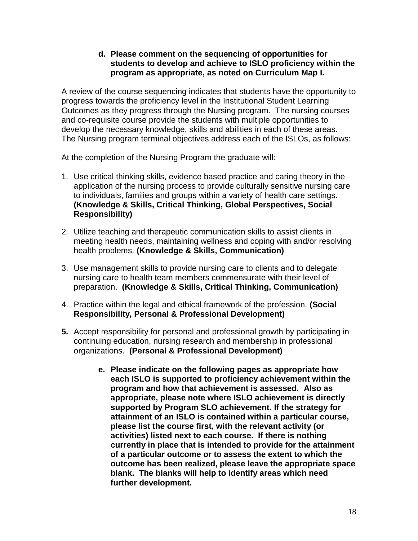## **d. Please comment on the sequencing of opportunities for students to develop and achieve to ISLO proficiency within the program as appropriate, as noted on Curriculum Map I.**

A review of the course sequencing indicates that students have the opportunity to progress towards the proficiency level in the Institutional Student Learning Outcomes as they progress through the Nursing program. The nursing courses and co-requisite course provide the students with multiple opportunities to develop the necessary knowledge, skills and abilities in each of these areas. The Nursing program terminal objectives address each of the ISLOs, as follows:

At the completion of the Nursing Program the graduate will:

- 1. Use critical thinking skills, evidence based practice and caring theory in the application of the nursing process to provide culturally sensitive nursing care to individuals, families and groups within a variety of health care settings. **(Knowledge & Skills, Critical Thinking, Global Perspectives, Social Responsibility)**
- 2. Utilize teaching and therapeutic communication skills to assist clients in meeting health needs, maintaining wellness and coping with and/or resolving health problems. **(Knowledge & Skills, Communication)**
- 3. Use management skills to provide nursing care to clients and to delegate nursing care to health team members commensurate with their level of preparation. **(Knowledge & Skills, Critical Thinking, Communication)**
- 4. Practice within the legal and ethical framework of the profession. **(Social Responsibility, Personal & Professional Development)**
- **5.** Accept responsibility for personal and professional growth by participating in continuing education, nursing research and membership in professional organizations. **(Personal & Professional Development)**
	- **e. Please indicate on the following pages as appropriate how each ISLO is supported to proficiency achievement within the program and how that achievement is assessed. Also as appropriate, please note where ISLO achievement is directly supported by Program SLO achievement. If the strategy for attainment of an ISLO is contained within a particular course, please list the course first, with the relevant activity (or activities) listed next to each course. If there is nothing currently in place that is intended to provide for the attainment of a particular outcome or to assess the extent to which the outcome has been realized, please leave the appropriate space blank. The blanks will help to identify areas which need further development.**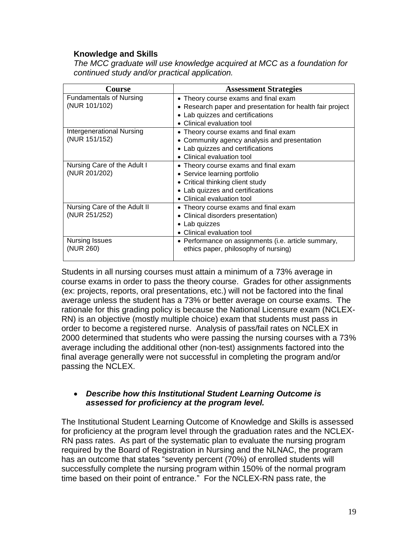## **Knowledge and Skills**

*The MCC graduate will use knowledge acquired at MCC as a foundation for continued study and/or practical application.*

| Course                         | <b>Assessment Strategies</b>                              |
|--------------------------------|-----------------------------------------------------------|
| <b>Fundamentals of Nursing</b> | Theory course exams and final exam<br>٠                   |
| (NUR 101/102)                  | • Research paper and presentation for health fair project |
|                                | Lab quizzes and certifications                            |
|                                | Clinical evaluation tool                                  |
| Intergenerational Nursing      | Theory course exams and final exam<br>٠                   |
| (NUR 151/152)                  | • Community agency analysis and presentation              |
|                                | • Lab quizzes and certifications                          |
|                                | Clinical evaluation tool                                  |
| Nursing Care of the Adult I    | • Theory course exams and final exam                      |
| (NUR 201/202)                  | • Service learning portfolio                              |
|                                | • Critical thinking client study                          |
|                                | Lab quizzes and certifications                            |
|                                | Clinical evaluation tool                                  |
| Nursing Care of the Adult II   | Theory course exams and final exam                        |
| (NUR 251/252)                  | • Clinical disorders presentation)                        |
|                                | $\bullet$ Lab quizzes                                     |
|                                | Clinical evaluation tool                                  |
| Nursing Issues                 | • Performance on assignments (i.e. article summary,       |
| (NUR 260)                      | ethics paper, philosophy of nursing)                      |
|                                |                                                           |

Students in all nursing courses must attain a minimum of a 73% average in course exams in order to pass the theory course. Grades for other assignments (ex: projects, reports, oral presentations, etc.) will not be factored into the final average unless the student has a 73% or better average on course exams. The rationale for this grading policy is because the National Licensure exam (NCLEX-RN) is an objective (mostly multiple choice) exam that students must pass in order to become a registered nurse. Analysis of pass/fail rates on NCLEX in 2000 determined that students who were passing the nursing courses with a 73% average including the additional other (non-test) assignments factored into the final average generally were not successful in completing the program and/or passing the NCLEX.

## *Describe how this Institutional Student Learning Outcome is assessed for proficiency at the program level.*

The Institutional Student Learning Outcome of Knowledge and Skills is assessed for proficiency at the program level through the graduation rates and the NCLEX-RN pass rates. As part of the systematic plan to evaluate the nursing program required by the Board of Registration in Nursing and the NLNAC, the program has an outcome that states "seventy percent (70%) of enrolled students will successfully complete the nursing program within 150% of the normal program time based on their point of entrance." For the NCLEX-RN pass rate, the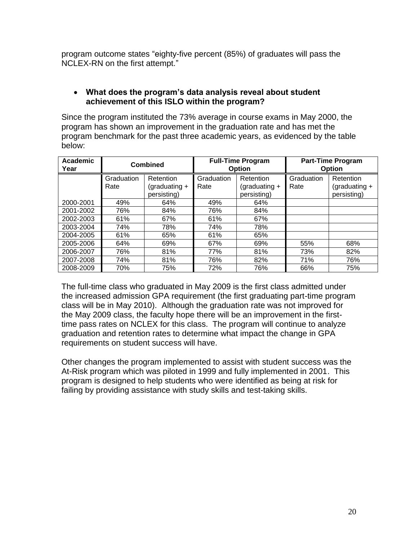program outcome states "eighty-five percent (85%) of graduates will pass the NCLEX-RN on the first attempt."

# **What does the program"s data analysis reveal about student achievement of this ISLO within the program?**

Since the program instituted the 73% average in course exams in May 2000, the program has shown an improvement in the graduation rate and has met the program benchmark for the past three academic years, as evidenced by the table below:

| <b>Academic</b><br>Year |                    | <b>Combined</b>                             | <b>Full-Time Program</b><br>Option                                |     |                    | <b>Part-Time Program</b><br><b>Option</b>   |  |  |
|-------------------------|--------------------|---------------------------------------------|-------------------------------------------------------------------|-----|--------------------|---------------------------------------------|--|--|
|                         | Graduation<br>Rate | Retention<br>(graduating $+$<br>persisting) | Graduation<br>Retention<br>(graduating $+$<br>Rate<br>persisting) |     | Graduation<br>Rate | Retention<br>(graduating $+$<br>persisting) |  |  |
| 2000-2001               | 49%                | 64%                                         | 49%                                                               | 64% |                    |                                             |  |  |
| 2001-2002               | 76%                | 84%                                         | 76%                                                               | 84% |                    |                                             |  |  |
| 2002-2003               | 61%                | 67%                                         | 61%                                                               | 67% |                    |                                             |  |  |
| 2003-2004               | 74%                | 78%                                         | 74%                                                               | 78% |                    |                                             |  |  |
| 2004-2005               | 61%                | 65%                                         | 61%                                                               | 65% |                    |                                             |  |  |
| 2005-2006               | 64%                | 69%                                         | 67%                                                               | 69% | 55%                | 68%                                         |  |  |
| 2006-2007               | 76%                | 81%                                         | 77%                                                               | 81% | 73%                | 82%                                         |  |  |
| 2007-2008               | 74%                | 81%                                         | 76%                                                               | 82% | 71%                | 76%                                         |  |  |
| 2008-2009               | 70%                | 75%                                         | 72%                                                               | 76% | 66%                | 75%                                         |  |  |

The full-time class who graduated in May 2009 is the first class admitted under the increased admission GPA requirement (the first graduating part-time program class will be in May 2010). Although the graduation rate was not improved for the May 2009 class, the faculty hope there will be an improvement in the firsttime pass rates on NCLEX for this class. The program will continue to analyze graduation and retention rates to determine what impact the change in GPA requirements on student success will have.

Other changes the program implemented to assist with student success was the At-Risk program which was piloted in 1999 and fully implemented in 2001. This program is designed to help students who were identified as being at risk for failing by providing assistance with study skills and test-taking skills.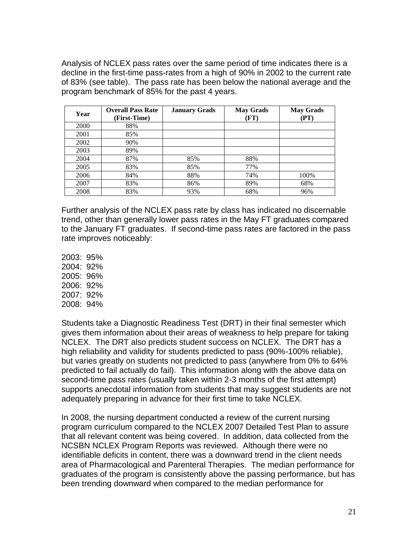Analysis of NCLEX pass rates over the same period of time indicates there is a decline in the first-time pass-rates from a high of 90% in 2002 to the current rate of 83% (see table). The pass rate has been below the national average and the program benchmark of 85% for the past 4 years.

| Year | <b>Overall Pass Rate</b><br>(First-Time) | <b>January Grads</b> | <b>May Grads</b><br>(FT) | <b>May Grads</b><br>(PT) |
|------|------------------------------------------|----------------------|--------------------------|--------------------------|
| 2000 | 88%                                      |                      |                          |                          |
| 2001 | 85%                                      |                      |                          |                          |
| 2002 | 90%                                      |                      |                          |                          |
| 2003 | 89%                                      |                      |                          |                          |
| 2004 | 87%                                      | 85%                  | 88%                      |                          |
| 2005 | 83%                                      | 85%                  | 77%                      |                          |
| 2006 | 84%                                      | 88%                  | 74%                      | 100%                     |
| 2007 | 83%                                      | 86%                  | 89%                      | 68%                      |
| 2008 | 83%                                      | 93%                  | 68%                      | 96%                      |

Further analysis of the NCLEX pass rate by class has indicated no discernable trend, other than generally lower pass rates in the May FT graduates compared to the January FT graduates. If second-time pass rates are factored in the pass rate improves noticeably:

2003: 95% 2004: 92% 2005: 96% 2006: 92% 2007: 92% 2008: 94%

Students take a Diagnostic Readiness Test (DRT) in their final semester which gives them information about their areas of weakness to help prepare for taking NCLEX. The DRT also predicts student success on NCLEX. The DRT has a high reliability and validity for students predicted to pass (90%-100% reliable), but varies greatly on students not predicted to pass (anywhere from 0% to 64% predicted to fail actually do fail). This information along with the above data on second-time pass rates (usually taken within 2-3 months of the first attempt) supports anecdotal information from students that may suggest students are not adequately preparing in advance for their first time to take NCLEX.

In 2008, the nursing department conducted a review of the current nursing program curriculum compared to the NCLEX 2007 Detailed Test Plan to assure that all relevant content was being covered. In addition, data collected from the NCSBN NCLEX Program Reports was reviewed. Although there were no identifiable deficits in content, there was a downward trend in the client needs area of Pharmacological and Parenteral Therapies. The median performance for graduates of the program is consistently above the passing performance, but has been trending downward when compared to the median performance for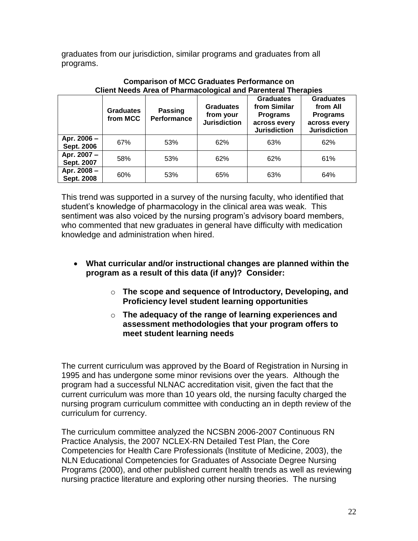graduates from our jurisdiction, similar programs and graduates from all programs.

|                           | <b>Graduates</b><br>from MCC | <b>Passing</b><br><b>Performance</b> | <b>Graduates</b><br>from your<br><b>Jurisdiction</b> | <b>Graduates</b><br>from Similar<br><b>Programs</b><br>across every<br><b>Jurisdiction</b> | <b>Graduates</b><br>from All<br><b>Programs</b><br>across every<br><b>Jurisdiction</b> |
|---------------------------|------------------------------|--------------------------------------|------------------------------------------------------|--------------------------------------------------------------------------------------------|----------------------------------------------------------------------------------------|
| Apr. 2006 -<br>Sept. 2006 | 67%                          | 53%                                  | 62%                                                  | 63%                                                                                        | 62%                                                                                    |
| Apr. 2007 -<br>Sept. 2007 | 58%                          | 53%                                  | 62%                                                  | 62%                                                                                        | 61%                                                                                    |
| Apr. 2008 -<br>Sept. 2008 | 60%                          | 53%                                  | 65%                                                  | 63%                                                                                        | 64%                                                                                    |

**Comparison of MCC Graduates Performance on Client Needs Area of Pharmacological and Parenteral Therapies**

This trend was supported in a survey of the nursing faculty, who identified that student's knowledge of pharmacology in the clinical area was weak. This sentiment was also voiced by the nursing program's advisory board members, who commented that new graduates in general have difficulty with medication knowledge and administration when hired.

- **What curricular and/or instructional changes are planned within the program as a result of this data (if any)? Consider:**
	- o **The scope and sequence of Introductory, Developing, and Proficiency level student learning opportunities**
	- o **The adequacy of the range of learning experiences and assessment methodologies that your program offers to meet student learning needs**

The current curriculum was approved by the Board of Registration in Nursing in 1995 and has undergone some minor revisions over the years. Although the program had a successful NLNAC accreditation visit, given the fact that the current curriculum was more than 10 years old, the nursing faculty charged the nursing program curriculum committee with conducting an in depth review of the curriculum for currency.

The curriculum committee analyzed the NCSBN 2006-2007 Continuous RN Practice Analysis, the 2007 NCLEX-RN Detailed Test Plan, the Core Competencies for Health Care Professionals (Institute of Medicine, 2003), the NLN Educational Competencies for Graduates of Associate Degree Nursing Programs (2000), and other published current health trends as well as reviewing nursing practice literature and exploring other nursing theories. The nursing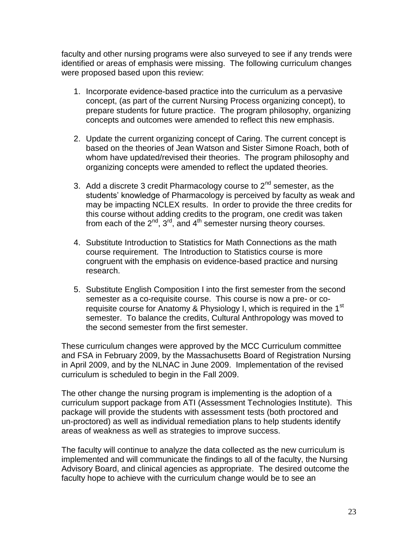faculty and other nursing programs were also surveyed to see if any trends were identified or areas of emphasis were missing. The following curriculum changes were proposed based upon this review:

- 1. Incorporate evidence-based practice into the curriculum as a pervasive concept, (as part of the current Nursing Process organizing concept), to prepare students for future practice. The program philosophy, organizing concepts and outcomes were amended to reflect this new emphasis.
- 2. Update the current organizing concept of Caring. The current concept is based on the theories of Jean Watson and Sister Simone Roach, both of whom have updated/revised their theories. The program philosophy and organizing concepts were amended to reflect the updated theories.
- 3. Add a discrete 3 credit Pharmacology course to  $2<sup>nd</sup>$  semester, as the students' knowledge of Pharmacology is perceived by faculty as weak and may be impacting NCLEX results. In order to provide the three credits for this course without adding credits to the program, one credit was taken from each of the  $2^{nd}$ ,  $3^{rd}$ , and  $4^{th}$  semester nursing theory courses.
- 4. Substitute Introduction to Statistics for Math Connections as the math course requirement. The Introduction to Statistics course is more congruent with the emphasis on evidence-based practice and nursing research.
- 5. Substitute English Composition I into the first semester from the second semester as a co-requisite course. This course is now a pre- or corequisite course for Anatomy & Physiology I, which is required in the 1<sup>st</sup> semester. To balance the credits, Cultural Anthropology was moved to the second semester from the first semester.

These curriculum changes were approved by the MCC Curriculum committee and FSA in February 2009, by the Massachusetts Board of Registration Nursing in April 2009, and by the NLNAC in June 2009. Implementation of the revised curriculum is scheduled to begin in the Fall 2009.

The other change the nursing program is implementing is the adoption of a curriculum support package from ATI (Assessment Technologies Institute). This package will provide the students with assessment tests (both proctored and un-proctored) as well as individual remediation plans to help students identify areas of weakness as well as strategies to improve success.

The faculty will continue to analyze the data collected as the new curriculum is implemented and will communicate the findings to all of the faculty, the Nursing Advisory Board, and clinical agencies as appropriate. The desired outcome the faculty hope to achieve with the curriculum change would be to see an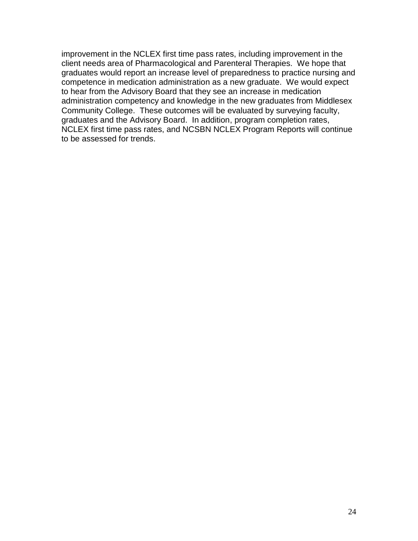improvement in the NCLEX first time pass rates, including improvement in the client needs area of Pharmacological and Parenteral Therapies. We hope that graduates would report an increase level of preparedness to practice nursing and competence in medication administration as a new graduate. We would expect to hear from the Advisory Board that they see an increase in medication administration competency and knowledge in the new graduates from Middlesex Community College. These outcomes will be evaluated by surveying faculty, graduates and the Advisory Board. In addition, program completion rates, NCLEX first time pass rates, and NCSBN NCLEX Program Reports will continue to be assessed for trends.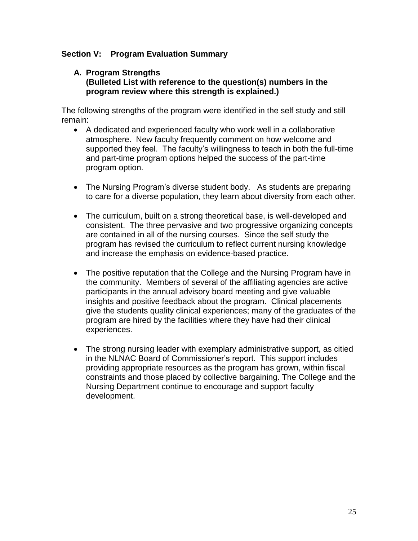## **Section V: Program Evaluation Summary**

#### **A. Program Strengths (Bulleted List with reference to the question(s) numbers in the program review where this strength is explained.)**

The following strengths of the program were identified in the self study and still remain:

- A dedicated and experienced faculty who work well in a collaborative atmosphere. New faculty frequently comment on how welcome and supported they feel. The faculty's willingness to teach in both the full-time and part-time program options helped the success of the part-time program option.
- The Nursing Program's diverse student body. As students are preparing to care for a diverse population, they learn about diversity from each other.
- The curriculum, built on a strong theoretical base, is well-developed and consistent. The three pervasive and two progressive organizing concepts are contained in all of the nursing courses. Since the self study the program has revised the curriculum to reflect current nursing knowledge and increase the emphasis on evidence-based practice.
- The positive reputation that the College and the Nursing Program have in the community. Members of several of the affiliating agencies are active participants in the annual advisory board meeting and give valuable insights and positive feedback about the program. Clinical placements give the students quality clinical experiences; many of the graduates of the program are hired by the facilities where they have had their clinical experiences.
- The strong nursing leader with exemplary administrative support, as citied in the NLNAC Board of Commissioner's report. This support includes providing appropriate resources as the program has grown, within fiscal constraints and those placed by collective bargaining. The College and the Nursing Department continue to encourage and support faculty development.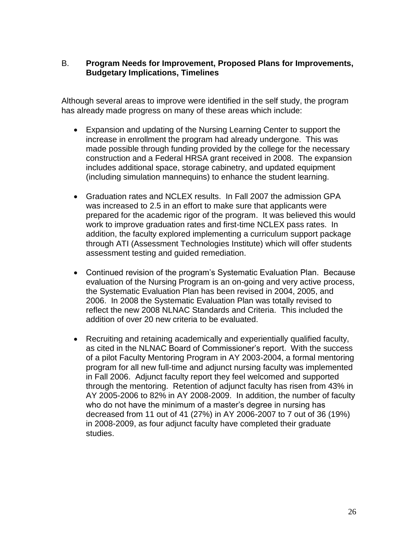## B. **Program Needs for Improvement, Proposed Plans for Improvements, Budgetary Implications, Timelines**

Although several areas to improve were identified in the self study, the program has already made progress on many of these areas which include:

- Expansion and updating of the Nursing Learning Center to support the increase in enrollment the program had already undergone. This was made possible through funding provided by the college for the necessary construction and a Federal HRSA grant received in 2008. The expansion includes additional space, storage cabinetry, and updated equipment (including simulation mannequins) to enhance the student learning.
- Graduation rates and NCLEX results. In Fall 2007 the admission GPA was increased to 2.5 in an effort to make sure that applicants were prepared for the academic rigor of the program. It was believed this would work to improve graduation rates and first-time NCLEX pass rates. In addition, the faculty explored implementing a curriculum support package through ATI (Assessment Technologies Institute) which will offer students assessment testing and guided remediation.
- Continued revision of the program's Systematic Evaluation Plan. Because evaluation of the Nursing Program is an on-going and very active process, the Systematic Evaluation Plan has been revised in 2004, 2005, and 2006. In 2008 the Systematic Evaluation Plan was totally revised to reflect the new 2008 NLNAC Standards and Criteria. This included the addition of over 20 new criteria to be evaluated.
- Recruiting and retaining academically and experientially qualified faculty, as cited in the NLNAC Board of Commissioner's report. With the success of a pilot Faculty Mentoring Program in AY 2003-2004, a formal mentoring program for all new full-time and adjunct nursing faculty was implemented in Fall 2006. Adjunct faculty report they feel welcomed and supported through the mentoring. Retention of adjunct faculty has risen from 43% in AY 2005-2006 to 82% in AY 2008-2009. In addition, the number of faculty who do not have the minimum of a master's degree in nursing has decreased from 11 out of 41 (27%) in AY 2006-2007 to 7 out of 36 (19%) in 2008-2009, as four adjunct faculty have completed their graduate studies.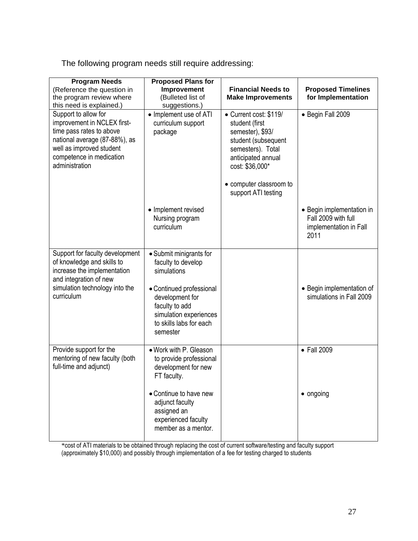The following program needs still require addressing:

| <b>Program Needs</b><br>(Reference the question in<br>the program review where<br>this need is explained.)                                                                                 | <b>Proposed Plans for</b><br>Improvement<br>(Bulleted list of<br>suggestions.)                                                 | <b>Financial Needs to</b><br><b>Make Improvements</b>                                                                                                                                               | <b>Proposed Timelines</b><br>for Implementation                                    |
|--------------------------------------------------------------------------------------------------------------------------------------------------------------------------------------------|--------------------------------------------------------------------------------------------------------------------------------|-----------------------------------------------------------------------------------------------------------------------------------------------------------------------------------------------------|------------------------------------------------------------------------------------|
| Support to allow for<br>improvement in NCLEX first-<br>time pass rates to above<br>national average (87-88%), as<br>well as improved student<br>competence in medication<br>administration | • Implement use of ATI<br>curriculum support<br>package                                                                        | • Current cost: \$119/<br>student (first<br>semester), \$93/<br>student (subsequent<br>semesters). Total<br>anticipated annual<br>cost: \$36,000*<br>• computer classroom to<br>support ATI testing | • Begin Fall 2009                                                                  |
|                                                                                                                                                                                            | • Implement revised<br>Nursing program<br>curriculum                                                                           |                                                                                                                                                                                                     | • Begin implementation in<br>Fall 2009 with full<br>implementation in Fall<br>2011 |
| Support for faculty development<br>of knowledge and skills to<br>increase the implementation<br>and integration of new                                                                     | • Submit minigrants for<br>faculty to develop<br>simulations                                                                   |                                                                                                                                                                                                     |                                                                                    |
| simulation technology into the<br>curriculum                                                                                                                                               | • Continued professional<br>development for<br>faculty to add<br>simulation experiences<br>to skills labs for each<br>semester |                                                                                                                                                                                                     | • Begin implementation of<br>simulations in Fall 2009                              |
| Provide support for the<br>mentoring of new faculty (both<br>full-time and adjunct)                                                                                                        | • Work with P. Gleason<br>to provide professional<br>development for new<br>FT faculty.                                        |                                                                                                                                                                                                     | • Fall 2009                                                                        |
|                                                                                                                                                                                            | • Continue to have new<br>adjunct faculty<br>assigned an<br>experienced faculty<br>member as a mentor.                         |                                                                                                                                                                                                     | • ongoing                                                                          |

\*cost of ATI materials to be obtained through replacing the cost of current software/testing and faculty support (approximately \$10,000) and possibly through implementation of a fee for testing charged to students